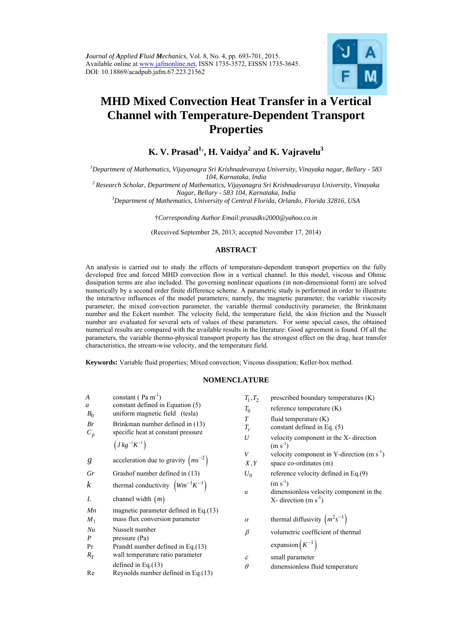

# **MHD Mixed Convection Heat Transfer in a Vertical Channel with Temperature-Dependent Transport Properties**

**K. V. Prasad1**† **, H. Vaidya<sup>2</sup> and K. Vajravelu3**

*1 Department of Mathematics, Vijayanagra Sri Krishnadevaraya University, Vinayaka nagar, Bellary - 583 104, Karnataka, India 2 Research Scholar, Department of Mathematics, Vijayanagra Sri Krishnadevaraya University, Vinayaka* 

*Nagar, Bellary - 583 104, Karnataka, India 3 Department of Mathematics, University of Central Florida, Orlando, Florida 32816, USA* 

†*Corresponding Author Email:prasadkv2000@yahoo.co.in* 

(Received September 28, 2013; accepted November 17, 2014)

# **ABSTRACT**

An analysis is carried out to study the effects of temperature-dependent transport properties on the fully developed free and forced MHD convection flow in a vertical channel. In this model, viscous and Ohmic dissipation terms are also included. The governing nonlinear equations (in non-dimensional form) are solved numerically by a second order finite difference scheme. A parametric study is performed in order to illustrate the interactive influences of the model parameters; namely, the magnetic parameter, the variable viscosity parameter, the mixed convection parameter, the variable thermal conductivity parameter, the Brinkmann number and the Eckert number. The velocity field, the temperature field, the skin friction and the Nusselt number are evaluated for several sets of values of these parameters. For some special cases, the obtained numerical results are compared with the available results in the literature: Good agreement is found. Of all the parameters, the variable thermo-physical transport property has the strongest effect on the drag, heat transfer characteristics, the stream-wise velocity, and the temperature field.

**Keywords:** Variable fluid properties; Mixed convection; Viscous dissipation; Keller-box method.

#### **NOMENCLATURE**

| A<br>$\mathfrak a$<br>$B_0$<br>Br<br>$C_p$ | constant ( $\text{Pa m}^{-1}$ )<br>constant defined in Equation (5)<br>uniform magnetic field (tesla)<br>Brinkman number defined in (13)<br>specific heat at constant pressure<br>$(J kg^{-1} K^{-1})$ | $T_1, T_2$<br>$T_0$<br>T<br>$T_r$<br>U | prescribed b<br>reference ter<br>fluid temper<br>constant def<br>velocity con<br>$(m s-1)$ |  |  |
|--------------------------------------------|--------------------------------------------------------------------------------------------------------------------------------------------------------------------------------------------------------|----------------------------------------|--------------------------------------------------------------------------------------------|--|--|
| g                                          | acceleration due to gravity $\left(ms^{-2}\right)$                                                                                                                                                     | V<br>X, Y                              | velocity con<br>space co-ord                                                               |  |  |
| Gr                                         | Grashof number defined in (13)                                                                                                                                                                         | $U_0$                                  | reference ve                                                                               |  |  |
| $\boldsymbol{k}$<br>L                      | thermal conductivity $\left( Wm^{-1}K^{-1}\right)$<br>channel width $(m)$                                                                                                                              | $\boldsymbol{u}$                       | $(m s-1)$<br>dimensionle<br>X-direction                                                    |  |  |
| Mn                                         | magnetic parameter defined in Eq. $(13)$                                                                                                                                                               |                                        |                                                                                            |  |  |
| $M_1$                                      | mass flux conversion parameter                                                                                                                                                                         | $\alpha$                               | thermal diffi                                                                              |  |  |
| Nu<br>$\boldsymbol{P}$<br>Pr               | Nusselt number<br>pressure (Pa)<br>Prandtl number defined in Eq. (13)                                                                                                                                  | β                                      | volumetric c<br>expansion $\left(1\right)$                                                 |  |  |
| $R_T$<br>Re                                | wall temperature ratio parameter<br>defined in Eq. $(13)$<br>Reynolds number defined in Eq.(13)                                                                                                        | ε<br>$\theta$                          | small param<br>dimensionle                                                                 |  |  |
|                                            |                                                                                                                                                                                                        |                                        |                                                                                            |  |  |

| $T_1, T_2$                 | prescribed boundary temperatures (K)                   |
|----------------------------|--------------------------------------------------------|
| $T_0$                      | reference temperature $(K)$                            |
| $\boldsymbol{T}$           | fluid temperature $(K)$                                |
| $T_r$                      | constant defined in Eq. (5)                            |
| U                          | velocity component in the X- direction<br>$(m s^{-1})$ |
| V                          | velocity component in Y-direction $(m s-1)$            |
| X, Y                       | space co-ordinates (m)                                 |
| $U_0$                      | reference velocity defined in Eq.(9)                   |
|                            | $(m s^{-1})$                                           |
| $\boldsymbol{u}$           | dimensionless velocity component in the                |
|                            | X- direction $(m s-1)$                                 |
| $\alpha$                   | thermal diffusivity $\left(m^2 s^{-1}\right)$          |
| β                          | volumetric coefficient of thermal                      |
|                            | expansion $(K^{-1})$                                   |
| $\boldsymbol{\varepsilon}$ | small parameter                                        |
| $\theta$                   | dimensionless fluid temperature                        |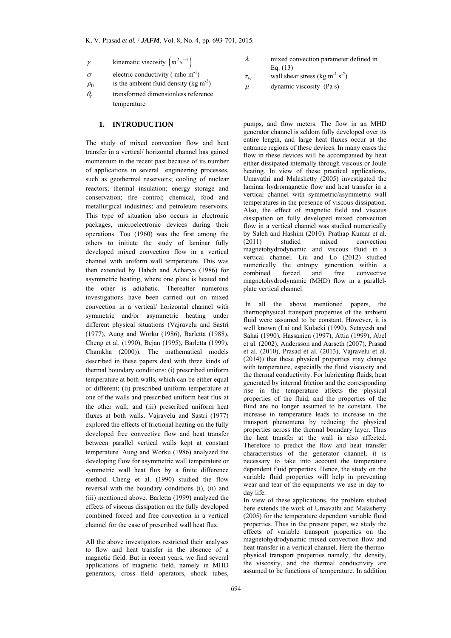- $\gamma$  kinematic viscosity  $(m^2 s^{-1})$
- $\sigma$  electric conductivity (mho m<sup>-1</sup>)
- $\rho_0$  is the ambient fluid density (kg m<sup>-3</sup>)
- $\theta_r$  transformed dimensionless reference temperature

# **1. INTRODUCTION**

The study of mixed convection flow and heat transfer in a vertical/ horizontal channel has gained momentum in the recent past because of its number of applications in several engineering processes, such as geothermal reservoirs; cooling of nuclear reactors; thermal insulation; energy storage and conservation; fire control; chemical, food and metallurgical industries; and petroleum reservoirs. This type of situation also occurs in electronic packages, microelectronic devices during their operations. Tou (1960) was the first among the others to initiate the study of laminar fully developed mixed convection flow in a vertical channel with uniform wall temperature. This was then extended by Habch and Acharya (1986) for asymmetric heating, where one plate is heated and the other is adiabatic. Thereafter numerous investigations have been carried out on mixed convection in a vertical/ horizontal channel with symmetric and/or asymmetric heating under different physical situations (Vajravelu and Sastri (1977), Aung and Worku (1986), Barletta (1988), Cheng et al. (1990), Bejan (1995), Barletta (1999), Chamkha (2000)). The mathematical models described in these papers deal with three kinds of thermal boundary conditions: (i) prescribed uniform temperature at both walls, which can be either equal or different; (ii) prescribed uniform temperature at one of the walls and prescribed uniform heat flux at the other wall; and (iii) prescribed uniform heat fluxes at both walls. Vajravelu and Sastri (1977) explored the effects of frictional heating on the fully developed free convective flow and heat transfer between parallel vertical walls kept at constant temperature. Aung and Worku (1986) analyzed the developing flow for asymmetric wall temperature or symmetric wall heat flux by a finite difference method. Cheng et al. (1990) studied the flow reversal with the boundary conditions (i), (ii) and (iii) mentioned above. Barletta (1999) analyzed the effects of viscous dissipation on the fully developed combined forced and free convection in a vertical channel for the case of prescribed wall heat flux.

All the above investigators restricted their analyses to flow and heat transfer in the absence of a magnetic field. But in recent years, we find several applications of magnetic field, namely in MHD generators, cross field operators, shock tubes,

- $\lambda$  mixed convection parameter defined in Eq. (13)
- $\tau_w$  wall shear stress (kg m<sup>-1</sup> s<sup>-2</sup>)

 $\mu$  dynamic viscosity (Pa s)

pumps, and flow meters. The flow in an MHD generator channel is seldom fully developed over its entire length, and large heat fluxes occur at the entrance regions of these devices. In many cases the flow in these devices will be accompanied by heat either dissipated internally through viscous or Joule heating. In view of these practical applications, Umavathi and Malashetty (2005) investigated the laminar hydromagnetic flow and heat transfer in a vertical channel with symmetric/asymmetric wall temperatures in the presence of viscous dissipation. Also, the effect of magnetic field and viscous dissipation on fully developed mixed convection flow in a vertical channel was studied numerically by Saleh and Hashim (2010). Prathap Kumar et al. (2011) studied mixed convection magnetohydrodynamic and viscous fluid in a vertical channel. Liu and Lo (2012) studied numerically the entropy generation within a<br>combined forced and free convective forced and free convective magnetohydrodynamic (MHD) flow in a parallelplate vertical channel.

 In all the above mentioned papers, the thermophysical transport properties of the ambient fluid were assumed to be constant. However, it is well known (Lai and Kulacki (1990), Setayesh and Sahai (1990), Hassanien (1997), Attia (1999), Abel et al. (2002), Andersson and Aarseth (2007), Prasad et al. (2010), Prasad et al. (2013), Vajravelu et al. (2014)) that these physical properties may change with temperature, especially the fluid viscosity and the thermal conductivity. For lubricating fluids, heat generated by internal friction and the corresponding rise in the temperature affects the physical properties of the fluid, and the properties of the fluid are no longer assumed to be constant. The increase in temperature leads to increase in the transport phenomena by reducing the physical properties across the thermal boundary layer. Thus the heat transfer at the wall is also affected. Therefore to predict the flow and heat transfer characteristics of the generator channel, it is necessary to take into account the temperature dependent fluid properties. Hence, the study on the variable fluid properties will help in preventing wear and tear of the equipments we use in day-today life.

In view of these applications, the problem studied here extends the work of Umavathi and Malashetty (2005) for the temperature dependent variable fluid properties. Thus in the present paper, we study the effects of variable transport properties on the magnetohydrodynamic mixed convection flow and heat transfer in a vertical channel. Here the thermophysical transport properties namely, the density, the viscosity, and the thermal conductivity are assumed to be functions of temperature. In addition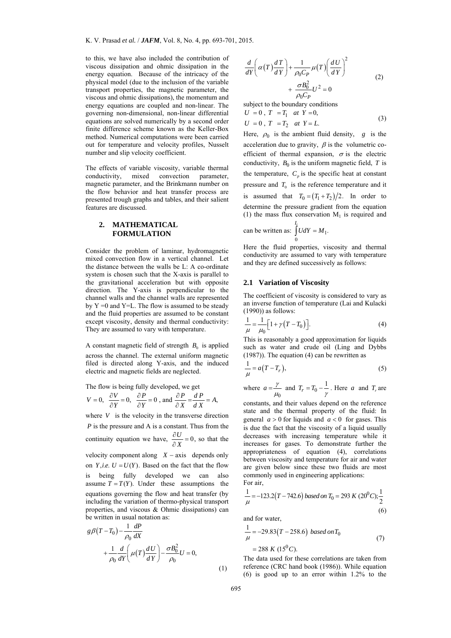to this, we have also included the contribution of viscous dissipation and ohmic dissipation in the energy equation. Because of the intricacy of the physical model (due to the inclusion of the variable transport properties, the magnetic parameter, the viscous and ohmic dissipations), the momentum and energy equations are coupled and non-linear. The governing non-dimensional, non-linear differential equations are solved numerically by a second order finite difference scheme known as the Keller-Box method. Numerical computations were been carried out for temperature and velocity profiles, Nusselt number and slip velocity coefficient.

The effects of variable viscosity, variable thermal conductivity, mixed convection parameter, magnetic parameter, and the Brinkmann number on the flow behavior and heat transfer process are presented trough graphs and tables, and their salient features are discussed.

#### **2. MATHEMATICAL FORMULATION**

Consider the problem of laminar, hydromagnetic mixed convection flow in a vertical channel. Let the distance between the walls be L: A co-ordinate system is chosen such that the X-axis is parallel to the gravitational acceleration but with opposite direction. The Y-axis is perpendicular to the channel walls and the channel walls are represented by  $Y = 0$  and  $Y = L$ . The flow is assumed to be steady and the fluid properties are assumed to be constant except viscosity, density and thermal conductivity: They are assumed to vary with temperature.

A constant magnetic field of strength  $B_0$  is applied across the channel. The external uniform magnetic filed is directed along Y-axis, and the induced electric and magnetic fields are neglected.

The flow is being fully developed, we get  
\n
$$
V = 0
$$
,  $\frac{\partial V}{\partial Y} = 0$ ,  $\frac{\partial P}{\partial Y} = 0$ , and  $\frac{\partial P}{\partial X} = \frac{dP}{dX} = A$ ,

where  $V$  is the velocity in the transverse direction *P* is the pressure and A is a constant. Thus from the continuity equation we have,  $\frac{\partial U}{\partial X} = 0$ , so that the velocity component along  $X - axis$  depends only on *Y*, *i.e.*  $U = U(Y)$ . Based on the fact that the flow is being fully developed we can also assume  $T = T(Y)$ . Under these assumptions the equations governing the flow and heat transfer (by including the variation of thermo-physical transport properties, and viscous & Ohmic dissipations) can be written in usual notation as:

$$
g\beta(T - T_0) - \frac{1}{\rho_0} \frac{dP}{dX}
$$
  
+ 
$$
\frac{1}{\rho_0} \frac{d}{dY} \left( \mu(T) \frac{dU}{dY} \right) - \frac{\sigma B_0^2}{\rho_0} U = 0,
$$
 (1)

$$
\frac{d}{dY}\left(\alpha(T)\frac{dT}{dY}\right) + \frac{1}{\rho_0C_P}\mu(T)\left(\frac{dU}{dY}\right)^2 + \frac{\sigma B_0^2}{\rho_0C_P}U^2 = 0
$$
\n(2)

subject to the boundary conditions

$$
U = 0, T = T_1 \text{ at } Y = 0,
$$
  
\n
$$
U = 0, T = T_2 \text{ at } Y = L.
$$
 (3)

Here,  $\rho_0$  is the ambient fluid density, g is the acceleration due to gravity,  $\beta$  is the volumetric coefficient of thermal expansion,  $\sigma$  is the electric conductivity,  $B_0$  is the uniform magnetic field, *T* is the temperature,  $C_p$  is the specific heat at constant pressure and  $T_0$  is the reference temperature and it is assumed that  $T_0 = (T_1 + T_2)/2$ . In order to determine the pressure gradient from the equation (1) the mass flux conservation  $M<sub>1</sub>$  is required and *L*

can be written as: 
$$
\int_{0}^{L} U dY = M_1.
$$

Here the fluid properties, viscosity and thermal conductivity are assumed to vary with temperature and they are defined successively as follows:

#### **2.1 Variation of Viscosity**

The coefficient of viscosity is considered to vary as an inverse function of temperature (Lai and Kulacki (1990)) as follows:

$$
\frac{1}{\mu} = \frac{1}{\mu_0} \Big[ 1 + \gamma (T - T_0) \Big].
$$
 (4)

This is reasonably a good approximation for liquids such as water and crude oil (Ling and Dybbs (1987)). The equation (4) can be rewritten as

$$
\frac{1}{\mu} = a(T - T_r),\tag{5}
$$

where  $\overline{0}$  $a = \frac{\gamma}{\mu_0}$  and  $T_r = T_0 - \frac{1}{\gamma}$ . Here *a* and  $T_r$  are

constants, and their values depend on the reference state and the thermal property of the fluid: In general  $a > 0$  for liquids and  $a < 0$  for gases. This is due the fact that the viscosity of a liquid usually decreases with increasing temperature while it increases for gases. To demonstrate further the appropriateness of equation (4), correlations between viscosity and temperature for air and water are given below since these two fluids are most commonly used in engineering applications: For air,

$$
\frac{1}{\mu} = -123.2(T - 742.6) based on T_0 = 293 K (200 C); \frac{1}{2}
$$
\n(6)

and for water,

$$
\frac{1}{\mu} = -29.83(T - 258.6) based on T_0
$$
  
= 288 K (15<sup>0</sup>C). (7)

The data used for these correlations are taken from reference (CRC hand book (1986)). While equation (6) is good up to an error within 1.2% to the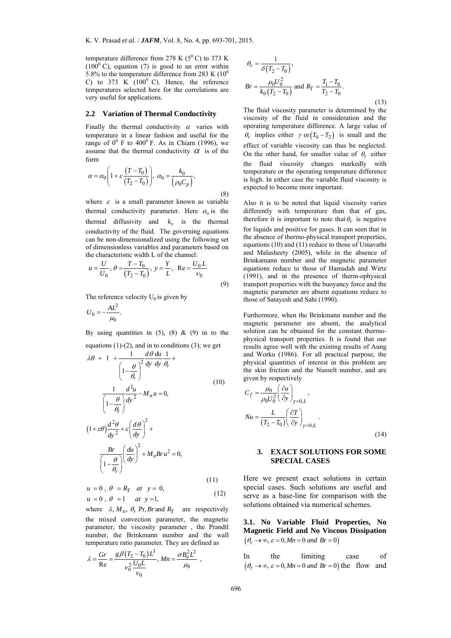temperature difference from 278 K ( $5^{\circ}$ C) to 373 K  $(100<sup>0</sup> C)$ , equation (7) is good to an error within 5.8% to the temperature difference from 283 K  $(10^0$ C) to 373 K  $(100^{\circ}$  C). Hence, the reference temperatures selected here for the correlations are very useful for applications.

#### **2.2 Variation of Thermal Conductivity**

Finally the thermal conductivity  $\alpha$  varies with temperature in a linear fashion and useful for the range of  $0^0$  F to  $400^0$  F. As in Chiam (1996), we assume that the thermal conductivity  $\alpha$  is of the form

$$
\alpha = \alpha_0 \left( 1 + \varepsilon \frac{(T - T_0)}{(T_2 - T_0)} \right), \ \alpha_0 = \frac{k_0}{\left( \rho_0 C_p \right)},
$$
\n(8)

where  $\varepsilon$  is a small parameter known as variable thermal conductivity parameter. Here  $\alpha_0$  is the thermal diffusivity and  $k_0$  is the thermal conductivity of the fluid. The governing equations can be non-dimensionalized using the following set of dimensionless variables and parameters based on the characteristic width L of the channel:

$$
u = \frac{U}{U_0}, \ \theta = \frac{T - T_0}{(T_2 - T_0)}, \ \ y = \frac{Y}{L}, \ \ \text{Re} = \frac{U_0 L}{V_0}
$$
\n
$$
\tag{9}
$$

The reference velocity  $U_0$  is given by

$$
U_0 = -\frac{AL^2}{\mu_0}.
$$

By using quantities in  $(5)$ ,  $(8)$  &  $(9)$  in to the equations  $(1)-(2)$ , and in to conditions  $(3)$ ; we get

$$
\lambda \theta + 1 + \frac{1}{\left(1 - \frac{\theta}{\theta_r}\right)^2} \frac{d\theta}{dy} \frac{du}{dy} \frac{1}{\theta_r} +
$$
\n
$$
\frac{1}{\left(1 - \frac{\theta}{\theta_r}\right)} \frac{d^2 u}{dy^2} - M_n u = 0,
$$
\n
$$
(1+\varepsilon\theta) \frac{d^2 \theta}{dy^2} + \varepsilon \left(\frac{d\theta}{dy}\right)^2 +
$$
\n
$$
\frac{Br}{\left(1 - \frac{\theta}{\theta_r}\right)} \left(\frac{du}{dy}\right)^2 + M_n B r u^2 = 0,
$$
\n
$$
(11)
$$

$$
u = 0, \theta = R_T \quad at \quad y = 0,
$$
  
\n
$$
u = 0, \theta = 1 \quad at \quad y = 1,
$$
\n(12)

where  $\lambda$ ,  $M_n$ ,  $\theta_r$  Pr, *Br* and  $R_T$  are respectively the mixed convection parameter, the magnetic parameter, the viscosity parameter , the Prandtl number, the Brinkmann number and the wall temperature ratio parameter. They are defined as

$$
\lambda = \frac{Gr}{Re} = \frac{g \beta (T_2 - T_0)L^3}{v_0^2 \frac{U_0 L}{v_0}}, \, Mn = \frac{\sigma B_o^2 L^2}{\mu_0} \, ,
$$

$$
\theta_r = \frac{1}{\delta(T_2 - T_0)},
$$
  
\n
$$
Br = \frac{\mu_0 U_0^2}{k_0 (T_2 - T_0)} \text{ and } R_T = \frac{T_1 - T_0}{T_2 - T_0}.
$$
\n(13)

The fluid viscosity parameter is determined by the viscosity of the fluid in consideration and the operating temperature difference. A large value of  $\theta_r$  implies either  $\gamma$  or  $(T_0 - T_2)$  is small and the effect of variable viscosity can thus be neglected. On the other hand, for smaller value of  $\theta_r$  either the fluid viscosity changes markedly with temperature or the operating temperature difference is high. In either case the variable fluid viscosity is expected to become more important.

Also it is to be noted that liquid viscosity varies differently with temperature than that of gas, therefore it is important to note that  $\theta_r$  is negative for liquids and positive for gases. It can seen that in the absence of thermo-physical transport properties, equations (10) and (11) reduce to those of Umavathi and Malasheety (2005), while in the absence of Brinkamann number and the magnetic parameter equations reduce to those of Hamadah and Wirtz (1991), and in the presence of therm-ophysical transport properties with the buoyancy force and the magnetic parameter are absent equations reduce to those of Satayesh and Sahi (1990).

Furthermore, when the Brinkmann number and the magnetic parameter are absent, the analytical solution can be obtained for the constant thermophysical transport properties. It is found that our results agree well with the existing results of Aung and Worku (1986). For all practical purpose, the physical quantities of interest in this problem are the skin friction and the Nusselt number, and are given by respectively

$$
C_f = \frac{\mu_0}{\rho_0 U_0^2} \left(\frac{\partial u}{\partial y}\right)_{y=0,L},
$$
  

$$
Nu = \frac{L}{(T_2 - T_0)} \left(\frac{\partial T}{\partial y}\right)_{y=0,L}.
$$
 (14)

## **3. EXACT SOLUTIONS FOR SOME SPECIAL CASES**

Here we present exact solutions in certain special cases. Such solutions are useful and serve as a base-line for comparison with the solutions obtained via numerical schemes.

**3.1. No Variable Fluid Properties, No Magnetic Field and No Viscous Dissipation**   $(\theta_{r} \rightarrow \infty, \varepsilon = 0, Mn = 0 \text{ and } Br = 0)$ 

In the limiting case of  $(\theta_r \to \infty, \varepsilon = 0, Mn = 0 \text{ and } Br = 0)$  the flow and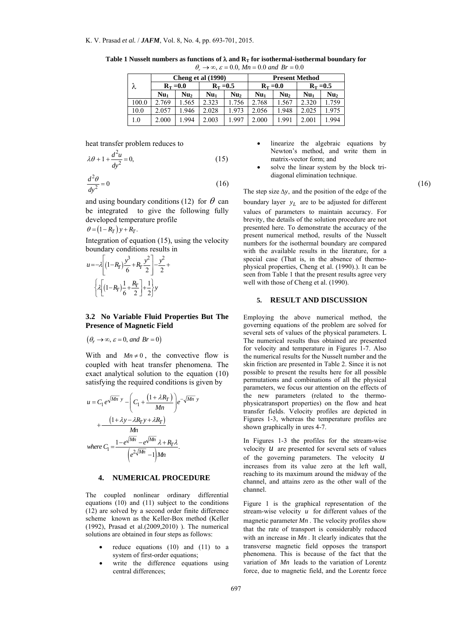| λ     | Cheng et al (1990) |                 |                 |                 | <b>Present Method</b> |                 |                 |                 |
|-------|--------------------|-----------------|-----------------|-----------------|-----------------------|-----------------|-----------------|-----------------|
|       | $R_T = 0.0$        |                 | $R_T = 0.5$     |                 | $R_T = 0.0$           |                 | $R_T = 0.5$     |                 |
|       | Nu <sub>1</sub>    | Nu <sub>2</sub> | Nu <sub>1</sub> | Nu <sub>2</sub> | Nu.                   | Nu <sub>2</sub> | Nu <sub>1</sub> | Nu <sub>2</sub> |
| 100.0 | 2.769              | .565            | 2.323           | 1.756           | 2.768                 | .567            | 2.320           | 1.759           |
| 10.0  | 2.057              | .946            | 2.028           | 1.973           | 2.056                 | 1.948           | 2.025           | 1.975           |
| 1.0   | 2.000              | .994            | 2.003           | 1.997           | 2.000                 | 1.991           | 2.001           | 1.994           |

Table 1 Nusselt numbers as functions of  $\lambda$  and  $\mathbf{R}_T$  for isothermal-isothermal boundary for  $\theta_r \rightarrow \infty$ ,  $\varepsilon = 0.0$ ,  $Mn = 0.0$  and  $Br = 0.0$ 

heat transfer problem reduces to

$$
\lambda \theta + 1 + \frac{d^2 u}{dy^2} = 0,\tag{15}
$$

$$
\frac{d^2\theta}{dy^2} = 0
$$
 (16)  
The step size Av, and the position of the edge of the

and using boundary conditions (12) for  $\theta$  can be integrated to give the following fully developed temperature profile

$$
\theta = (1 - R_T) y + R_T.
$$

Integration of equation (15), using the velocity boundary conditions results in

$$
u = -\lambda \left[ (1 - R_T) \frac{y^3}{6} + R_T \frac{y^2}{2} \right] - \frac{y^2}{2} + \frac{2}{3} \lambda \left[ (1 - R_T) \frac{1}{6} + \frac{R_T}{2} \right] + \frac{1}{2} \lambda y
$$

## **3.2 No Variable Fluid Properties But The Presence of Magnetic Field**

$$
(\theta_r \to \infty, \varepsilon = 0, \text{ and } Br = 0)
$$

With and  $Mn \neq 0$ , the convective flow is coupled with heat transfer phenomena. The exact analytical solution to the equation (10) satisfying the required conditions is given by

 $\mathbb{R}^2$ 

$$
u = C_1 e^{\sqrt{Mn} y} - \left(C_1 + \frac{(1 + \lambda R_T)}{Mn}\right) e^{-\sqrt{Mn} y}
$$

$$
+ \frac{(1 + \lambda y - \lambda R_T y + \lambda R_T)}{Mn}
$$
  
where  $C_1 = \frac{1 - e^{\sqrt{Mn}} - e^{\sqrt{Mn}} \lambda + R_T \lambda}{e^{\lambda \sqrt{Mn}} - 1 M_n}.$ 

### **4. NUMERICAL PROCEDURE**

The coupled nonlinear ordinary differential equations  $(10)$  and  $(11)$  subject to the conditions (12) are solved by a second order finite difference scheme known as the Keller-Box method (Keller (1992), Prasad et al.(2009,2010) ). The numerical solutions are obtained in four steps as follows:

- reduce equations (10) and (11) to a system of first-order equations;
- write the difference equations using central differences;
- linearize the algebraic equations by Newton's method, and write them in matrix-vector form; and
- solve the linear system by the block tridiagonal elimination technique.

The step size  $\Delta y$ , and the position of the edge of the boundary layer  $y_L$  are to be adjusted for different values of parameters to maintain accuracy. For brevity, the details of the solution procedure are not presented here. To demonstrate the accuracy of the present numerical method, results of the Nusselt numbers for the isothermal boundary are compared with the available results in the literature, for a special case (That is, in the absence of thermophysical properties, Cheng et al. (1990).). It can be seen from Table 1 that the present results agree very well with those of Cheng et al. (1990).

#### **5. RESULT AND DISCUSSION**

Employing the above numerical method, the governing equations of the problem are solved for several sets of values of the physical parameters. L The numerical results thus obtained are presented for velocity and temperature in Figures 1-7. Also the numerical results for the Nusselt number and the skin friction are presented in Table 2. Since it is not possible to present the results here for all possible permutations and combinations of all the physical parameters, we focus our attention on the effects of the new parameters (related to the thermophysicatransport properties) on the flow and heat transfer fields. Velocity profiles are depicted in Figures 1-3, whereas the temperature profiles are shown graphically in ures 4-7.

In Figures 1-3 the profiles for the stream-wise velocity  $u$  are presented for several sets of values of the governing parameters. The velocity *u* increases from its value zero at the left wall, reaching to its maximum around the midway of the channel, and attains zero as the other wall of the channel.

Figure 1 is the graphical representation of the stream-wise velocity *u* for different values of the magnetic parameter *Mn* . The velocity profiles show that the rate of transport is considerably reduced with an increase in *Mn* . It clearly indicates that the transverse magnetic field opposes the transport phenomena. This is because of the fact that the variation of *Mn* leads to the variation of Lorentz force, due to magnetic field, and the Lorentz force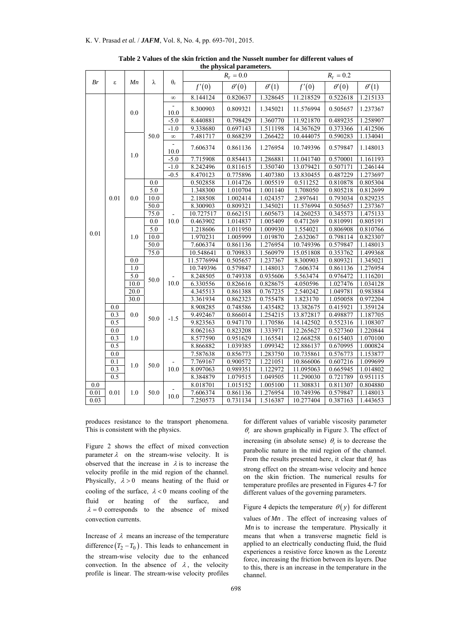|      | S        | Mn                | λ           | $\theta_r$             | $R_{T} = 0.0$ |              |              | $R_{T} = 0.2$ |              |              |
|------|----------|-------------------|-------------|------------------------|---------------|--------------|--------------|---------------|--------------|--------------|
| Br   |          |                   |             |                        | f'(0)         | $\theta'(0)$ | $\theta'(1)$ | f'(0)         | $\theta'(0)$ | $\theta'(1)$ |
|      |          |                   |             | $\infty$               | 8.144124      | 0.820637     | 1.328645     | 11.218529     | 0.522618     | 1.215133     |
|      |          | 0.0               |             | $\blacksquare$<br>10.0 | 8.300903      | 0.809321     | 1.345021     | 11.576994     | 0.505657     | 1.237367     |
|      |          |                   |             | $-5.0$                 | 8.440881      | 0.798429     | 1.360770     | 11.921870     | 0.489235     | 1.258907     |
|      |          |                   | 50.0        | $-1.0$                 | 9.338680      | 0.697143     | 1.511198     | 14.367629     | 0.373366     | 1.412506     |
|      |          |                   |             | $\infty$               | 7.481717      | 0.868239     | 1.266422     | 10.444075     | 0.590283     | 1.134041     |
|      |          |                   |             | 10.0                   | 7.606374      | 0.861136     | 1.276954     | 10.749396     | 0.579847     | 1.148013     |
|      |          | 1.0               |             | $-5.0$                 | 7.715908      | 0.854413     | 1.286881     | 11.041740     | 0.570001     | 1.161193     |
|      |          |                   |             | $-1.0$                 | 8.242496      | 0.811615     | 1.350740     | 13.079421     | 0.507171     | 1.246144     |
|      |          |                   |             | $-0.5$                 | 8.470123      | 0.775896     | 1.407380     | 13.830455     | 0.487229     | 1.273697     |
|      |          |                   | 0.0         |                        | 0.502858      | 1.014726     | 1.005519     | 0.511252      | 0.810878     | 0.805304     |
|      |          |                   | 5.0         |                        | 1.348300      | 1.010704     | 1.001140     | 1.708050      | 0.805218     | 0.812699     |
|      | $0.01\,$ | 0.0               | 10.0        |                        | 2.188508      | 1.002414     | 1.024357     | 2.897641      | 0.793034     | 0.829235     |
|      |          |                   | 50.0        |                        | 8.300903      | 0.809321     | 1.345021     | 11.576994     | 0.505657     | 1.237367     |
|      |          |                   | 75.0        |                        | 10.727517     | 0.662151     | 1.605673     | 14.260253     | 0.345573     | 1.475133     |
|      |          | 1.0               | 0.0         | 10.0                   | 0.463902      | 1.014837     | 1.005409     | 0.471269      | 0.810991     | 0.805191     |
|      |          |                   | 5.0         |                        | 1.218606      | 1.011950     | 1.009930     | 1.554021      | 0.806908     | 0.810766     |
| 0.01 |          |                   | 10.0        |                        | 1.970231      | 1.005999     | 1.019870     | 2.632067      | 0.798114     | 0.823307     |
|      |          |                   | 50.0        |                        | 7.606374      | 0.861136     | 1.276954     | 10.749396     | 0.579847     | 1.148013     |
|      |          |                   | 75.0        |                        | 10.548641     | 0.709833     | 1.560979     | 15.051808     | 0.353762     | 1.499368     |
|      |          | 0.0               |             | 11.5776994             | 0.505657      | 1.237367     | 8.300903     | 0.809321      | 1.345021     |              |
|      |          | 1.0               |             | 50.0<br>10.0           | 10.749396     | 0.579847     | 1.148013     | 7.606374      | 0.861136     | 1.276954     |
|      |          | 5.0               |             |                        | 8.248505      | 0.749338     | 0.935606     | 5.563474      | 0.976472     | 1.116201     |
|      |          | 10.0              |             |                        | 6.330556      | 0.826616     | 0.828675     | 4.050596      | 1.027476     | 1.034128     |
|      |          | $\overline{20.0}$ |             |                        | 4.345513      | 0.861388     | 0.767235     | 2.540242      | 1.049781     | 0.983884     |
|      |          | 30.0              |             |                        | 3.361934      | 0.862323     | 0.755478     | 1.823170      | 1.050058     | 0.972204     |
|      | 0.0      |                   | 50.0        | $-1.5$                 | 8.908285      | 0.748586     | 1.435482     | 13.382675     | 0.415921     | 1.359124     |
|      | 0.3      | 0.0               |             |                        | 9.492467      | 0.866014     | 1.254215     | 13.872817     | 0.498877     | 1.187705     |
|      | 0.5      |                   |             |                        | 9.823563      | 0.947170     | 1.170586     | 14.142502     | 0.552316     | 1.108307     |
|      | 0.0      |                   |             |                        | 8.062163      | 0.823208     | 1.333971     | 12.265627     | 0.527360     | 1.220844     |
|      | 0.3      | 1.0               |             |                        | 8.577590      | 0.951629     | 1.165541     | 12.668258     | 0.615403     | 1.070100     |
|      | 0.5      |                   |             |                        | 8.866882      | 1.039385     | 1.099342     | 12.886137     | 0.670995     | 1.000824     |
|      | 0.0      |                   | 1.0<br>50.0 | 10.0                   | 7.587638      | 0.856773     | 1.283750     | 10.735861     | 0.576773     | 1.153877     |
|      | 0.1      |                   |             |                        | 7.769167      | 0.900572     | 1.221051     | 10.866006     | 0.607216     | 1.099699     |
|      | 0.3      |                   |             |                        | 8.097063      | 0.989351     | 1.122972     | 11.095063     | 0.665945     | 1.014802     |
|      | 0.5      |                   |             |                        | 8.384879      | 1.079515     | 1.049505     | 11.290030     | 0.721789     | 0.951115     |
| 0.0  |          |                   |             |                        | 8.018701      | 1.015152     | 1.005100     | 11.308831     | 0.811307     | 0.804880     |
| 0.01 | 0.01     | 1.0               | 50.0        | 10.0                   | 7.606374      | 0.861136     | 1.276954     | 10.749396     | 0.579847     | 1.148013     |
| 0.03 |          |                   |             |                        | 7.250573      | 0.731134     | 1.516387     | 10.277404     | 0.387163     | 1.443653     |

**Table 2 Values of the skin friction and the Nusselt number for different values of the physical parameters.** 

produces resistance to the transport phenomena. This is consistent with the physics.

Figure 2 shows the effect of mixed convection parameter  $\lambda$  on the stream-wise velocity. It is observed that the increase in  $\lambda$  is to increase the velocity profile in the mid region of the channel. Physically,  $\lambda > 0$  means heating of the fluid or cooling of the surface,  $\lambda < 0$  means cooling of the fluid or heating of the surface, and  $\lambda = 0$  corresponds to the absence of mixed convection currents.

Increase of  $\lambda$  means an increase of the temperature difference  $(T_2 - T_0)$ . This leads to enhancement in the stream-wise velocity due to the enhanced convection. In the absence of  $\lambda$ , the velocity profile is linear. The stream-wise velocity profiles for different values of variable viscosity parameter  $\theta_r$  are shown graphically in Figure 3. The effect of

increasing (in absolute sense)  $\theta_r$  is to decrease the parabolic nature in the mid region of the channel. From the results presented here, it clear that  $\theta_r$  has strong effect on the stream-wise velocity and hence on the skin friction. The numerical results for temperature profiles are presented in Figures 4-7 for different values of the governing parameters.

Figure 4 depicts the temperature  $\theta(y)$  for different

values of *Mn* . The effect of increasing values of *Mn* is to increase the temperature. Physically it means that when a transverse magnetic field is applied to an electrically conducting fluid, the fluid experiences a resistive force known as the Lorentz force, increasing the friction between its layers. Due to this, there is an increase in the temperature in the channel.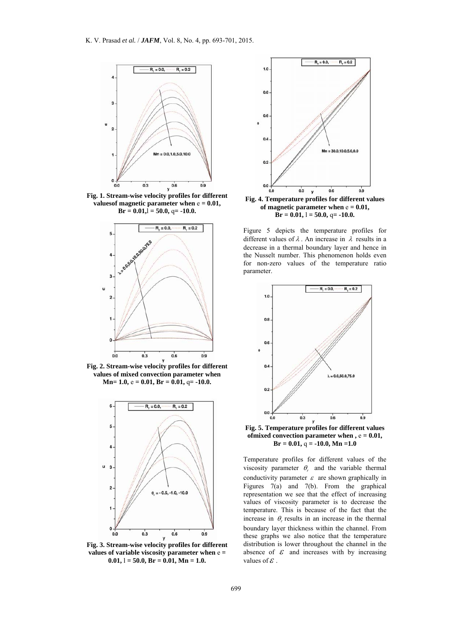

**Fig. 1. Stream-wise velocity profiles for different valuesof magnetic parameter when** e **= 0.01,**   $Br = 0.01$ ,  $\overline{l} = 50.0$ , q= -10.0.



**Fig. 2. Stream-wise velocity profiles for different values of mixed convection parameter when Mn= 1.0,** e **= 0.01, Br = 0.01,** q**= -10.0.** 



**Fig. 3. Stream-wise velocity profiles for different values of variable viscosity parameter when** e **=**   $0.01, l = 50.0, Br = 0.01, Mn = 1.0.$ 



**Fig. 4. Temperature profiles for different values**  of magnetic parameter when  $e = 0.01$ ,  $\mathbf{B} \mathbf{r} = 0.\overline{0}1, 1 = 50.0, 0 = -10.0.$ 

Figure 5 depicts the temperature profiles for different values of  $\lambda$ . An increase in  $\lambda$  results in a decrease in a thermal boundary layer and hence in the Nusselt number. This phenomenon holds even for non-zero values of the temperature ratio parameter.



**ofmixed convection parameter when**  $, e = 0.01$ **,**  $Br = 0.01$ ,  $q = -10.0$ ,  $Mn = 1.0$ 

Temperature profiles for different values of the viscosity parameter  $\theta$  and the variable thermal conductivity parameter  $\varepsilon$  are shown graphically in Figures 7(a) and 7(b). From the graphical representation we see that the effect of increasing values of viscosity parameter is to decrease the temperature. This is because of the fact that the increase in  $\theta$  results in an increase in the thermal boundary layer thickness within the channel. From these graphs we also notice that the temperature distribution is lower throughout the channel in the absence of  $\mathcal E$  and increases with by increasing values of  $\mathcal E$ .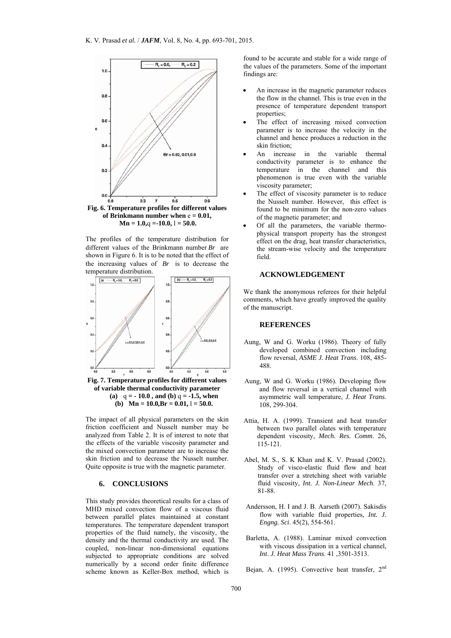

The profiles of the temperature distribution for different values of the Brinkmann number *Br* are shown in Figure 6. It is to be noted that the effect of the increasing values of *Br* is to decrease the temperature distribution.



The impact of all physical parameters on the skin friction coefficient and Nusselt number may be analyzed from Table 2. It is of interest to note that the effects of the variable viscosity parameter and the mixed convection parameter are to increase the skin friction and to decrease the Nusselt number. Quite opposite is true with the magnetic parameter.

# **6. CONCLUSIONS**

This study provides theoretical results for a class of MHD mixed convection flow of a viscous fluid between parallel plates maintained at constant temperatures. The temperature dependent transport properties of the fluid namely, the viscosity, the density and the thermal conductivity are used. The coupled, non-linear non-dimensional equations subjected to appropriate conditions are solved numerically by a second order finite difference scheme known as Keller-Box method, which is

found to be accurate and stable for a wide range of the values of the parameters. Some of the important findings are:

- An increase in the magnetic parameter reduces the flow in the channel. This is true even in the presence of temperature dependent transport properties;
- The effect of increasing mixed convection parameter is to increase the velocity in the channel and hence produces a reduction in the skin friction;
- An increase in the variable thermal conductivity parameter is to enhance the temperature in the channel and this phenomenon is true even with the variable viscosity parameter;
- The effect of viscosity parameter is to reduce the Nusselt number. However, this effect is found to be minimum for the non-zero values of the magnetic parameter; and
- Of all the parameters, the variable thermophysical transport property has the strongest effect on the drag, heat transfer characteristics, the stream-wise velocity and the temperature field.

#### **ACKNOWLEDGEMENT**

We thank the anonymous referees for their helpful comments, which have greatly improved the quality of the manuscript.

#### **REFERENCES**

- Aung, W and G. Worku (1986). Theory of fully developed combined convection including flow reversal, *ASME J. Heat Trans*. 108, 485- 488.
- Aung, W and G. Worku (1986). Developing flow and flow reversal in a vertical channel with asymmetric wall temperature, *J. Heat Trans*. 108, 299-304.
- Attia, H. A. (1999). Transient and heat transfer between two parallel olates with temperature dependent viscosity, *Mech. Res. Comm*. 26, 115-121.
- Abel, M. S., S. K Khan and K. V. Prasad (2002). Study of visco-elastic fluid flow and heat transfer over a stretching sheet with variable fluid viscosity, *Int. J. Non-Linear Mech*. 37, 81-88.
- Andersson, H. I and J. B. Aarseth (2007). Sakisdis flow with variable fluid properties, *Int. J. Engng. Sci*. 45(2), 554-561.
- Barletta, A. (1988). Laminar mixed convection with viscous dissipation in a vertical channel, *Int*. *J. Heat Mass Trans*. 41 ,3501-3513.

Bejan, A. (1995). Convective heat transfer, 2<sup>nd</sup>